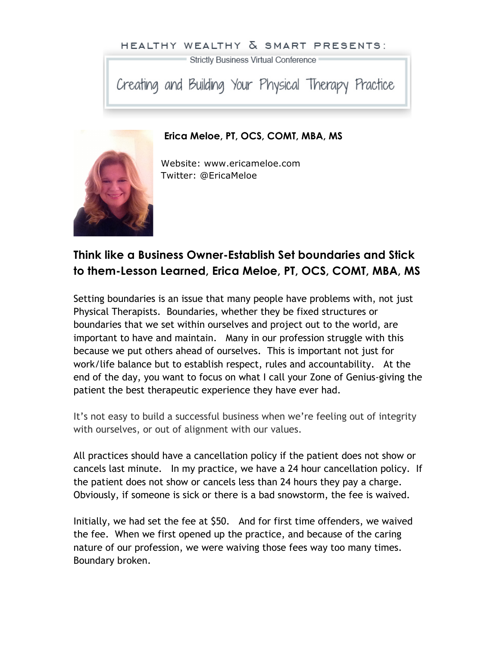## HEALTHY WEALTHY & SMART PRESENTS:

Strictly Business Virtual Conference

Creating and Building Your Physical Therapy Practice

**Erica Meloe, PT, OCS, COMT, MBA, MS**

Website: www.ericameloe.com Twitter: @EricaMeloe

## **Think like a Business Owner-Establish Set boundaries and Stick to them-Lesson Learned, Erica Meloe, PT, OCS, COMT, MBA, MS**

Setting boundaries is an issue that many people have problems with, not just Physical Therapists. Boundaries, whether they be fixed structures or boundaries that we set within ourselves and project out to the world, are important to have and maintain. Many in our profession struggle with this because we put others ahead of ourselves. This is important not just for work/life balance but to establish respect, rules and accountability. At the end of the day, you want to focus on what I call your Zone of Genius-giving the patient the best therapeutic experience they have ever had.

It's not easy to build a successful business when we're feeling out of integrity with ourselves, or out of alignment with our values.

All practices should have a cancellation policy if the patient does not show or cancels last minute. In my practice, we have a 24 hour cancellation policy. If the patient does not show or cancels less than 24 hours they pay a charge. Obviously, if someone is sick or there is a bad snowstorm, the fee is waived.

Initially, we had set the fee at \$50. And for first time offenders, we waived the fee. When we first opened up the practice, and because of the caring nature of our profession, we were waiving those fees way too many times. Boundary broken.